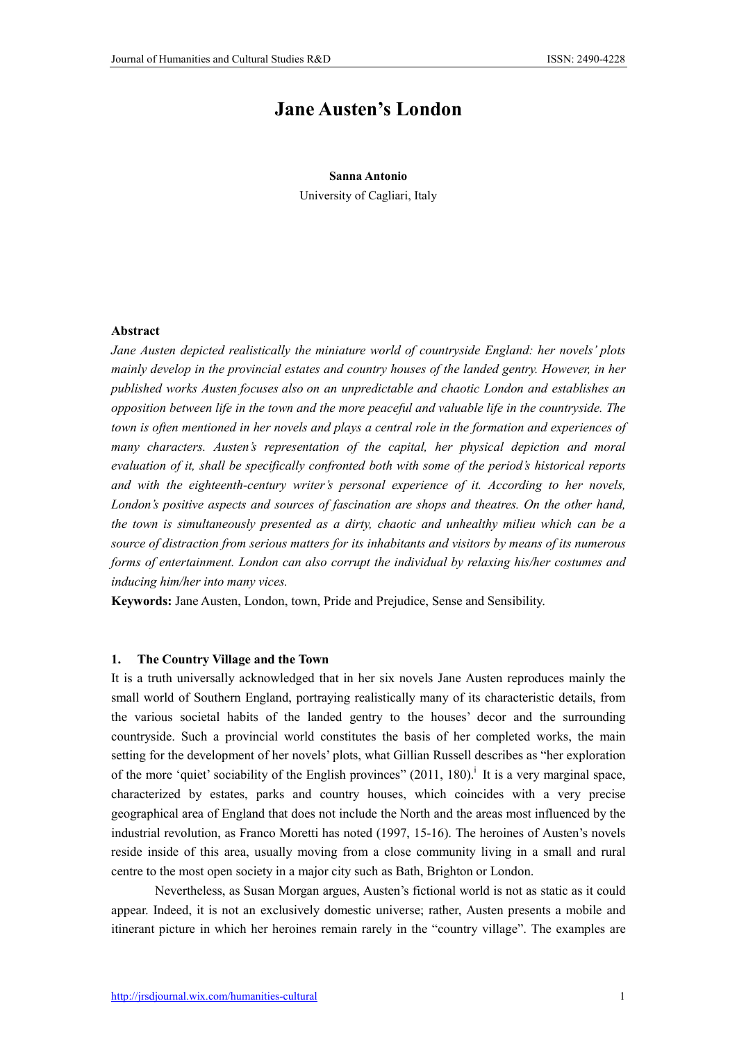# Jane Austen's London

#### Sanna Antonio

University of Cagliari, Italy

### Abstract

*Jane Austen depicted realistically the miniature world of countryside England: her novels' plots mainly develop in the provincial estates and country houses of the landed gentry. However, in her published works Austen focuses also on an unpredictable and chaotic London and establishes an opposition between life in the town and the more peaceful and valuable life in the countryside. The town is often mentioned in her novels and plays a central role in the formation and experiences of many characters. Austen's representation of the capital, her physical depiction and moral evaluation of it, shall be specifically confronted both with some of the period's historical reports and with the eighteenth-century writer's personal experience of it. According to her novels, London's positive aspects and sources of fascination are shops and theatres. On the other hand, the town is simultaneously presented as a dirty, chaotic and unhealthy milieu which can be a source of distraction from serious matters for its inhabitants and visitors by means of its numerous forms of entertainment. London can also corrupt the individual by relaxing his/her costumes and inducing him/her into many vices.*

Keywords: Jane Austen, London, town, Pride and Prejudice, Sense and Sensibility.

#### 1. The Country Village and the Town

It is a truth universally acknowledged that in her six novels Jane Austen reproduces mainly the small world of Southern England, portraying realistically many of its characteristic details, from the various societal habits of the landed gentry to the houses' decor and the surrounding countryside. Such a provincial world constitutes the basis of her completed works, the main setting for the development of her novels' plots, what Gillian Russell describes as "her exploration of the more 'quiet' sociability of the English provinces" (2011, 180).<sup>i</sup> It is a very marginal space, characterized by estates, parks and country houses, which coincides with a very precise geographical area of England that does not include the North and the areas most influenced by the industrial revolution, as Franco Moretti has noted (1997, 15-16). The heroines of Austen's novels reside inside of this area, usually moving from a close community living in a small and rural centre to the most open society in a major city such as Bath, Brighton or London.

Nevertheless, as Susan Morgan argues, Austen's fictional world is not as static as it could appear. Indeed, it is not an exclusively domestic universe; rather, Austen presents a mobile and itinerant picture in which her heroines remain rarely in the "country village". The examples are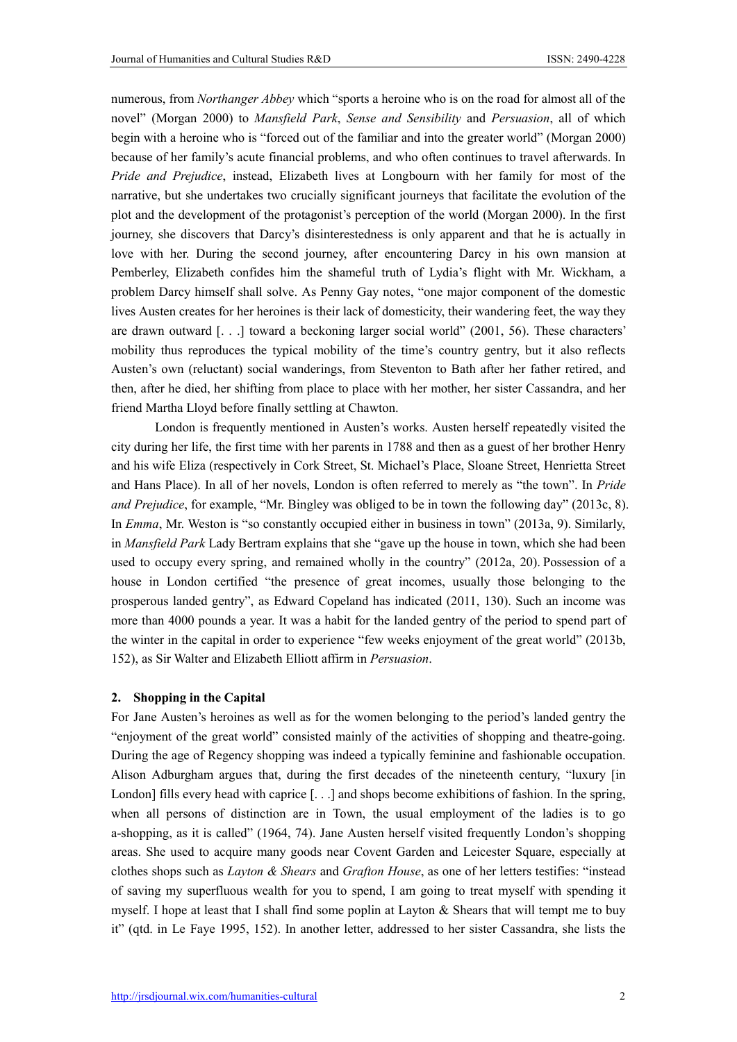numerous, from *Northanger Abbey* which "sports a heroine who is on the road for almost all of the novel" (Morgan 2000) to *Mansfield Park*, *Sense and Sensibility* and *Persuasion*, all of which begin with a heroine who is "forced out of the familiar and into the greater world" (Morgan 2000) because of her family's acute financial problems, and who often continues to travel afterwards. In *Pride and Prejudice*, instead, Elizabeth lives at Longbourn with her family for most of the narrative, but she undertakes two crucially significant journeys that facilitate the evolution of the plot and the development of the protagonist's perception of the world (Morgan 2000). In the first journey, she discovers that Darcy's disinterestedness is only apparent and that he is actually in love with her. During the second journey, after encountering Darcy in his own mansion at Pemberley, Elizabeth confides him the shameful truth of Lydia's flight with Mr. Wickham, a problem Darcy himself shall solve. As Penny Gay notes, "one major component of the domestic lives Austen creates for her heroines is their lack of domesticity, their wandering feet, the way they are drawn outward [. . .] toward a beckoning larger social world" (2001, 56). These characters' mobility thus reproduces the typical mobility of the time's country gentry, but it also reflects Austen's own (reluctant) social wanderings, from Steventon to Bath after her father retired, and then, after he died, her shifting from place to place with her mother, her sister Cassandra, and her friend Martha Lloyd before finally settling at Chawton.

London is frequently mentioned in Austen's works. Austen herself repeatedly visited the city during her life, the first time with her parents in 1788 and then as a guest of her brother Henry and his wife Eliza (respectively in Cork Street, St. Michael's Place, Sloane Street, Henrietta Street and Hans Place). In all of her novels, London is often referred to merely as "the town". In *Pride and Prejudice*, for example, "Mr. Bingley was obliged to be in town the following day" (2013c, 8). In *Emma*, Mr. Weston is "so constantly occupied either in business in town" (2013a, 9). Similarly, in *Mansfield Park* Lady Bertram explains that she "gave up the house in town, which she had been used to occupy every spring, and remained wholly in the country" (2012a, 20). Possession of a house in London certified "the presence of great incomes, usually those belonging to the prosperous landed gentry", as Edward Copeland has indicated (2011, 130). Such an income was more than 4000 pounds a year. It was a habit for the landed gentry of the period to spend part of the winter in the capital in order to experience "few weeks enjoyment of the great world" (2013b, 152), as Sir Walter and Elizabeth Elliott affirm in *Persuasion*.

## 2. Shopping in the Capital

For Jane Austen's heroines as well as for the women belonging to the period's landed gentry the "enjoyment of the great world" consisted mainly of the activities of shopping and theatre-going. During the age of Regency shopping was indeed a typically feminine and fashionable occupation. Alison Adburgham argues that, during the first decades of the nineteenth century, "luxury [in London] fills every head with caprice [...] and shops become exhibitions of fashion. In the spring, when all persons of distinction are in Town, the usual employment of the ladies is to go a-shopping, as it is called" (1964, 74). Jane Austen herself visited frequently London's shopping areas. She used to acquire many goods near Covent Garden and Leicester Square, especially at clothes shops such as *Layton & Shears* and *Grafton House*, as one of her letters testifies: "instead of saving my superfluous wealth for you to spend, I am going to treat myself with spending it myself. I hope at least that I shall find some poplin at Layton  $\&$  Shears that will tempt me to buy it" (qtd. in Le Faye 1995, 152). In another letter, addressed to her sister Cassandra, she lists the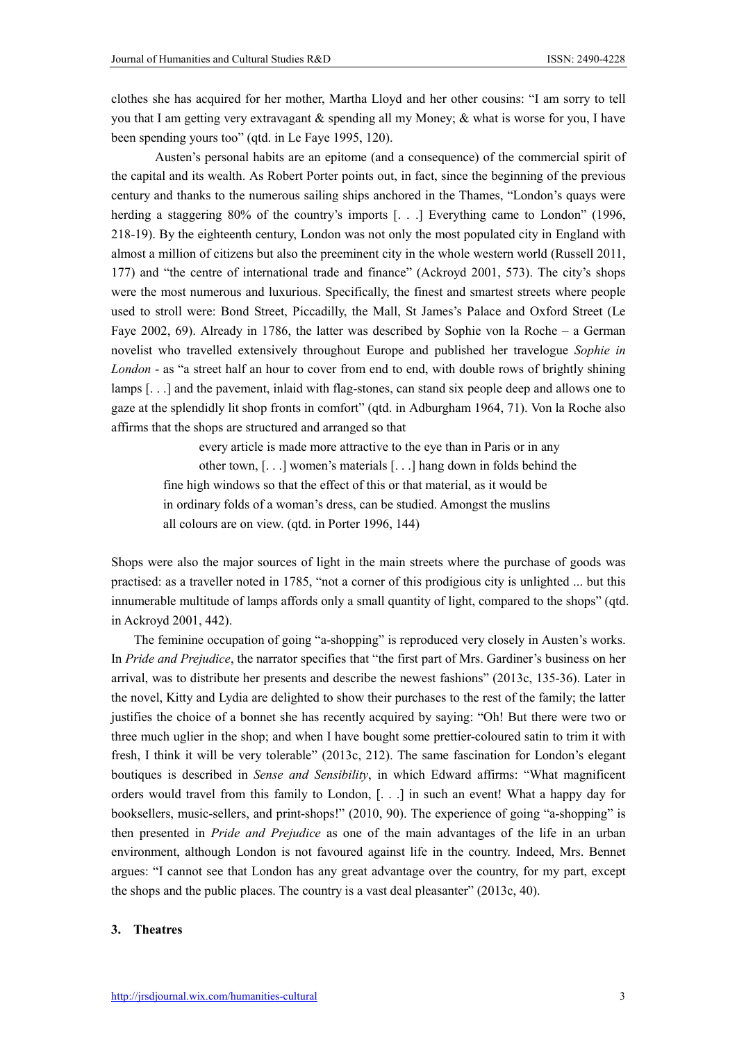clothes she has acquired for her mother, Martha Lloyd and her other cousins: "I am sorry to tell you that I am getting very extravagant  $\&$  spending all my Money;  $\&$  what is worse for you, I have been spending yours too" (qtd. in Le Faye 1995, 120).

Austen's personal habits are an epitome (and a consequence) of the commercial spirit of the capital and its wealth. As Robert Porter points out, in fact, since the beginning of the previous century and thanks to the numerous sailing ships anchored in the Thames, "London's quays were herding a staggering 80% of the country's imports [...] Everything came to London" (1996, 218-19). By the eighteenth century, London was not only the most populated city in England with almost a million of citizens but also the preeminent city in the whole western world (Russell 2011, 177) and "the centre of international trade and finance" (Ackroyd 2001, 573). The city's shops were the most numerous and luxurious. Specifically, the finest and smartest streets where people used to stroll were: Bond Street, Piccadilly, the Mall, St James's Palace and Oxford Street (Le Faye 2002, 69). Already in 1786, the latter was described by Sophie von la Roche – a German novelist who travelled extensively throughout Europe and published her travelogue *Sophie in London* - as "a street half an hour to cover from end to end, with double rows of brightly shining lamps [. . .] and the pavement, inlaid with flag-stones, can stand six people deep and allows one to gaze at the splendidly lit shop fronts in comfort" (qtd. in Adburgham 1964, 71). Von la Roche also affirms that the shops are structured and arranged so that

every article is made more attractive to the eye than in Paris or in any other town, [. . .] women's materials [. . .] hang down in folds behind the fine high windows so that the effect of this or that material, as it would be in ordinary folds of a woman's dress, can be studied. Amongst the muslins all colours are on view. (qtd. in Porter 1996, 144)

Shops were also the major sources of light in the main streets where the purchase of goods was practised: as a traveller noted in 1785, "not a corner of this prodigious city is unlighted ... but this innumerable multitude of lamps affords only a small quantity of light, compared to the shops" (qtd. in Ackroyd 2001, 442).

The feminine occupation of going "a-shopping" is reproduced very closely in Austen's works. In *Pride and Prejudice*, the narrator specifies that "the first part of Mrs. Gardiner's business on her arrival, was to distribute her presents and describe the newest fashions" (2013c, 135-36). Later in the novel, Kitty and Lydia are delighted to show their purchases to the rest of the family; the latter justifies the choice of a bonnet she has recently acquired by saying: "Oh! But there were two or three much uglier in the shop; and when I have bought some prettier-coloured satin to trim it with fresh, I think it will be very tolerable" (2013c, 212). The same fascination for London's elegant boutiques is described in *Sense and Sensibility*, in which Edward affirms: "What magnificent orders would travel from this family to London, [. . .] in such an event! What a happy day for booksellers, music-sellers, and print-shops!" (2010, 90). The experience of going "a-shopping" is then presented in *Pride and Prejudice* as one of the main advantages of the life in an urban environment, although London is not favoured against life in the country. Indeed, Mrs. Bennet argues: "I cannot see that London has any great advantage over the country, for my part, except the shops and the public places. The country is a vast deal pleasanter" (2013c, 40).

#### 3. Theatres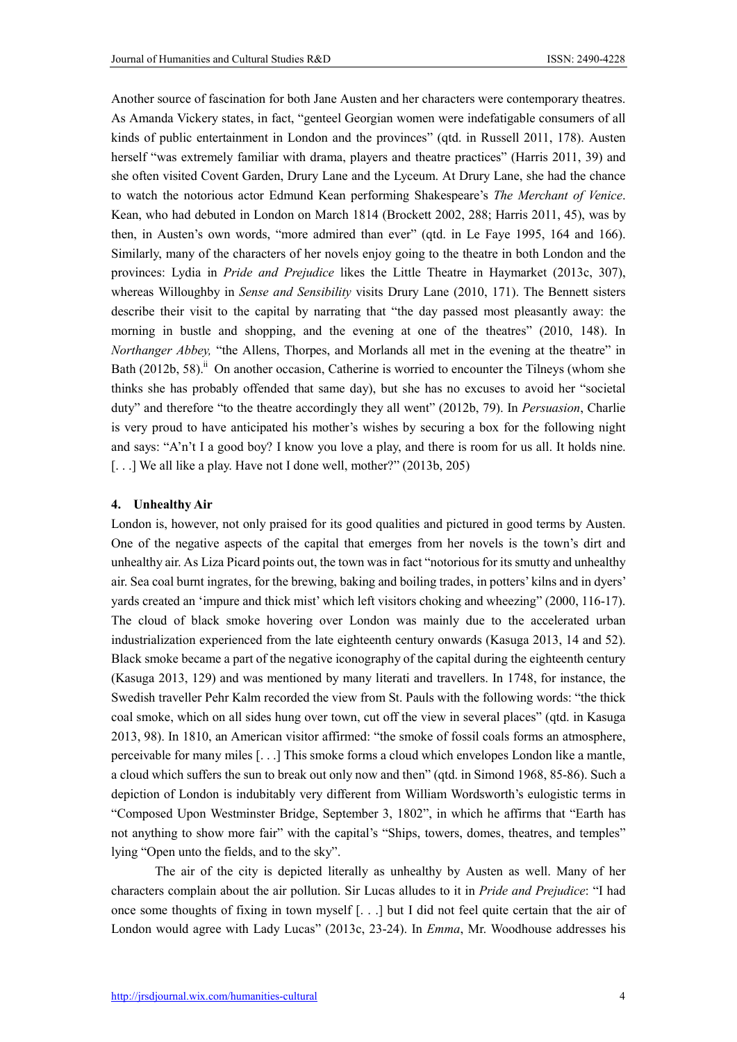Another source of fascination for both Jane Austen and her characters were contemporary theatres. As Amanda Vickery states, in fact, "genteel Georgian women were indefatigable consumers of all kinds of public entertainment in London and the provinces" (qtd. in Russell 2011, 178). Austen herself "was extremely familiar with drama, players and theatre practices" (Harris 2011, 39) and she often visited Covent Garden, Drury Lane and the Lyceum. At Drury Lane, she had the chance to watch the notorious actor Edmund Kean performing Shakespeare's *The Merchant of Venice*. Kean, who had debuted in London on March 1814 (Brockett 2002, 288; Harris 2011, 45), was by then, in Austen's own words, "more admired than ever" (qtd. in Le Faye 1995, 164 and 166). Similarly, many of the characters of her novels enjoy going to the theatre in both London and the provinces: Lydia in *Pride and Prejudice* likes the Little Theatre in Haymarket (2013c, 307), whereas Willoughby in *Sense and Sensibility* visits Drury Lane (2010, 171). The Bennett sisters describe their visit to the capital by narrating that "the day passed most pleasantly away: the morning in bustle and shopping, and the evening at one of the theatres" (2010, 148). In *Northanger Abbey,* "the Allens, Thorpes, and Morlands all met in the evening at the theatre" in Bath  $(2012b, 58)$ .<sup>ii</sup> On another occasion, Catherine is worried to encounter the Tilneys (whom she thinks she has probably offended that same day), but she has no excuses to avoid her "societal duty" and therefore "to the theatre accordingly they all went" (2012b, 79). In *Persuasion*, Charlie is very proud to have anticipated his mother's wishes by securing a box for the following night and says: "A'n't I a good boy? I know you love a play, and there is room for us all. It holds nine. [...] We all like a play. Have not I done well, mother?" (2013b, 205)

#### 4. Unhealthy Air

London is, however, not only praised for its good qualities and pictured in good terms by Austen. One of the negative aspects of the capital that emerges from her novels is the town's dirt and unhealthy air. As Liza Picard points out, the town was in fact "notorious for its smutty and unhealthy air. Sea coal burnt ingrates, for the brewing, baking and boiling trades, in potters' kilns and in dyers' yards created an 'impure and thick mist' which left visitors choking and wheezing" (2000, 116-17). The cloud of black smoke hovering over London was mainly due to the accelerated urban industrialization experienced from the late eighteenth century onwards (Kasuga 2013, 14 and 52). Black smoke became a part of the negative iconography of the capital during the eighteenth century (Kasuga 2013, 129) and was mentioned by many literati and travellers. In 1748, for instance, the Swedish traveller Pehr Kalm recorded the view from St. Pauls with the following words: "the thick coal smoke, which on all sides hung over town, cut off the view in several places" (qtd. in Kasuga 2013, 98). In 1810, an American visitor affirmed: "the smoke of fossil coals forms an atmosphere, perceivable for many miles [. . .] This smoke forms a cloud which envelopes London like a mantle, a cloud which suffers the sun to break out only now and then" (qtd. in Simond 1968, 85-86). Such a depiction of London is indubitably very different from William Wordsworth's eulogistic terms in "Composed Upon Westminster Bridge, September 3, 1802", in which he affirms that "Earth has not anything to show more fair" with the capital's "Ships, towers, domes, theatres, and temples" lying "Open unto the fields, and to the sky".

The air of the city is depicted literally as unhealthy by Austen as well. Many of her characters complain about the air pollution. Sir Lucas alludes to it in *Pride and Prejudice*: "I had once some thoughts of fixing in town myself [. . .] but I did not feel quite certain that the air of London would agree with Lady Lucas" (2013c, 23-24). In *Emma*, Mr. Woodhouse addresses his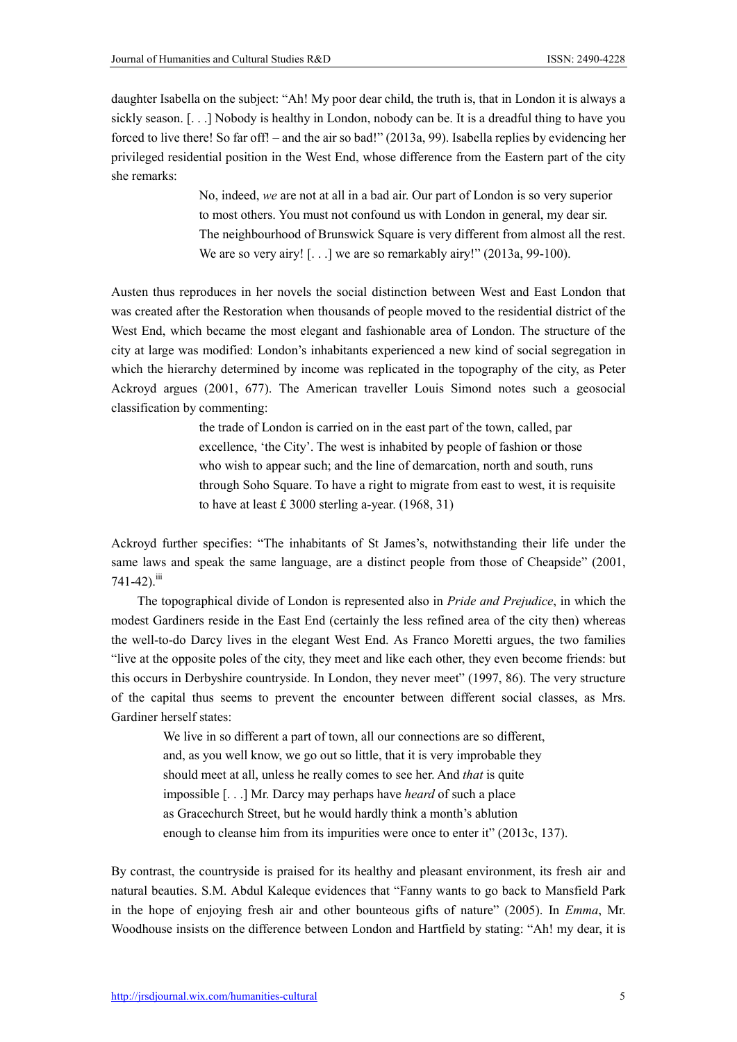daughter Isabella on the subject: "Ah! My poor dear child, the truth is, that in London it is always a sickly season. [...] Nobody is healthy in London, nobody can be. It is a dreadful thing to have you forced to live there! So far off! – and the air so bad!" (2013a, 99). Isabella replies by evidencing her privileged residential position in the West End, whose difference from the Eastern part of the city she remarks:

> No, indeed, *we* are not at all in a bad air. Our part of London is so very superior to most others. You must not confound us with London in general, my dear sir. The neighbourhood of Brunswick Square is very different from almost all the rest. We are so very airy! [...] we are so remarkably airy!" (2013a, 99-100).

Austen thus reproduces in her novels the social distinction between West and East London that was created after the Restoration when thousands of people moved to the residential district of the West End, which became the most elegant and fashionable area of London. The structure of the city at large was modified: London's inhabitants experienced a new kind of social segregation in which the hierarchy determined by income was replicated in the topography of the city, as Peter Ackroyd argues (2001, 677). The American traveller Louis Simond notes such a geosocial classification by commenting:

> the trade of London is carried on in the east part of the town, called, par excellence, 'the City'. The west is inhabited by people of fashion or those who wish to appear such; and the line of demarcation, north and south, runs through Soho Square. To have a right to migrate from east to west, it is requisite to have at least £ 3000 sterling a-year. (1968, 31)

Ackroyd further specifies: "The inhabitants of St James's, notwithstanding their life under the same laws and speak the same language, are a distinct people from those of Cheapside" (2001,  $741-42$ ). $^{iii}$ 

The topographical divide of London is represented also in *Pride and Prejudice*, in which the modest Gardiners reside in the East End (certainly the less refined area of the city then) whereas the well-to-do Darcy lives in the elegant West End. As Franco Moretti argues, the two families "live at the opposite poles of the city, they meet and like each other, they even become friends: but this occurs in Derbyshire countryside. In London, they never meet" (1997, 86). The very structure of the capital thus seems to prevent the encounter between different social classes, as Mrs. Gardiner herself states:

We live in so different a part of town, all our connections are so different, and, as you well know, we go out so little, that it is very improbable they should meet at all, unless he really comes to see her. And *that* is quite impossible [. . .] Mr. Darcy may perhaps have *heard* of such a place as Gracechurch Street, but he would hardly think a month's ablution enough to cleanse him from its impurities were once to enter it" (2013c, 137).

By contrast, the countryside is praised for its healthy and pleasant environment, its fresh air and natural beauties. S.M. Abdul Kaleque evidences that "Fanny wants to go back to Mansfield Park in the hope of enjoying fresh air and other bounteous gifts of nature" (2005). In *Emma*, Mr. Woodhouse insists on the difference between London and Hartfield by stating: "Ah! my dear, it is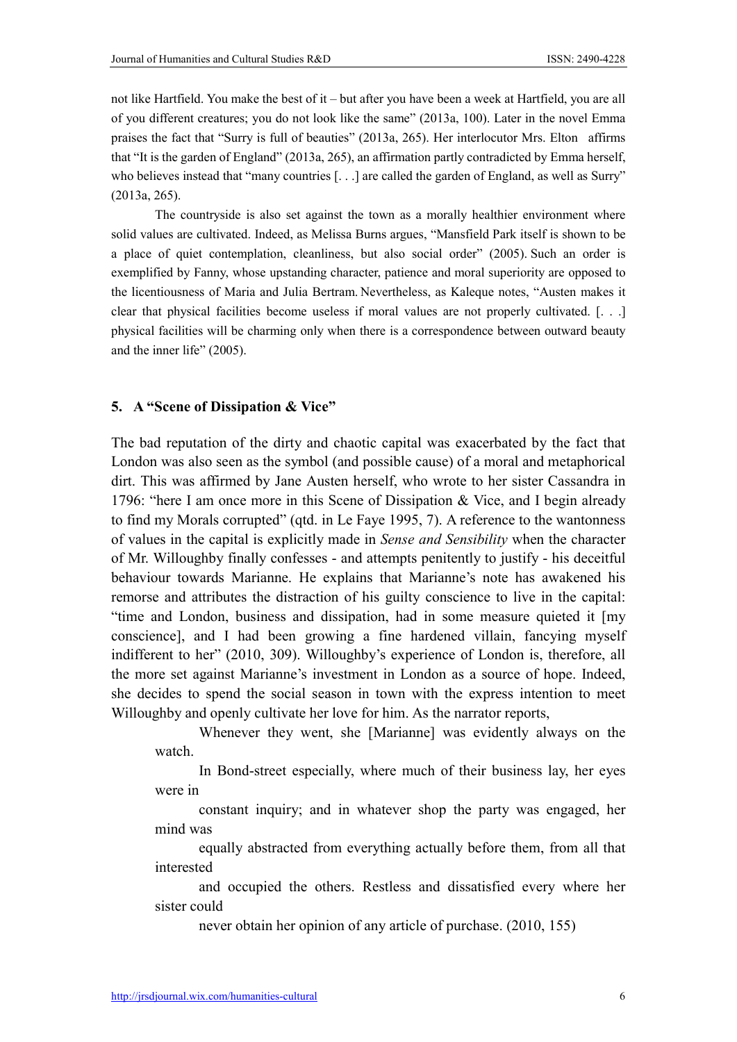not like Hartfield. You make the best of it – but after you have been a week at Hartfield, you are all of you different creatures; you do not look like the same" (2013a, 100). Later in the novel Emma praises the fact that "Surry is full of beauties" (2013a, 265). Her interlocutor Mrs. Elton affirms that "It is the garden of England" (2013a, 265), an affirmation partly contradicted by Emma herself, who believes instead that "many countries [...] are called the garden of England, as well as Surry" (2013a, 265).

The countryside is also set against the town as a morally healthier environment where solid values are cultivated. Indeed, as Melissa Burns argues, "Mansfield Park itself is shown to be a place of quiet contemplation, cleanliness, but also social order" (2005). Such an order is exemplified by Fanny, whose upstanding character, patience and moral superiority are opposed to the licentiousness of Maria and Julia Bertram. Nevertheless, as Kaleque notes, "Austen makes it clear that physical facilities become useless if moral values are not properly cultivated. [. . .] physical facilities will be charming only when there is a correspondence between outward beauty and the inner life" (2005).

# 5. A "Scene of Dissipation & Vice"

The bad reputation of the dirty and chaotic capital was exacerbated by the fact that London was also seen as the symbol (and possible cause) of a moral and metaphorical dirt. This was affirmed by Jane Austen herself, who wrote to her sister Cassandra in 1796: "here I am once more in this Scene of Dissipation & Vice, and I begin already to find my Morals corrupted" (qtd. in Le Faye 1995, 7). A reference to the wantonness of values in the capital is explicitly made in *Sense and Sensibility* when the character of Mr. Willoughby finally confesses - and attempts penitently to justify - his deceitful behaviour towards Marianne. He explains that Marianne's note has awakened his remorse and attributes the distraction of his guilty conscience to live in the capital: "time and London, business and dissipation, had in some measure quieted it [my conscience], and I had been growing a fine hardened villain, fancying myself indifferent to her" (2010, 309). Willoughby's experience of London is, therefore, all the more set against Marianne's investment in London as a source of hope. Indeed, she decides to spend the social season in town with the express intention to meet Willoughby and openly cultivate her love for him. As the narrator reports,

Whenever they went, she [Marianne] was evidently always on the watch.

In Bond-street especially, where much of their business lay, her eyes were in

constant inquiry; and in whatever shop the party was engaged, her mind was

equally abstracted from everything actually before them, from all that interested

and occupied the others. Restless and dissatisfied every where her sister could

never obtain her opinion of any article of purchase. (2010, 155)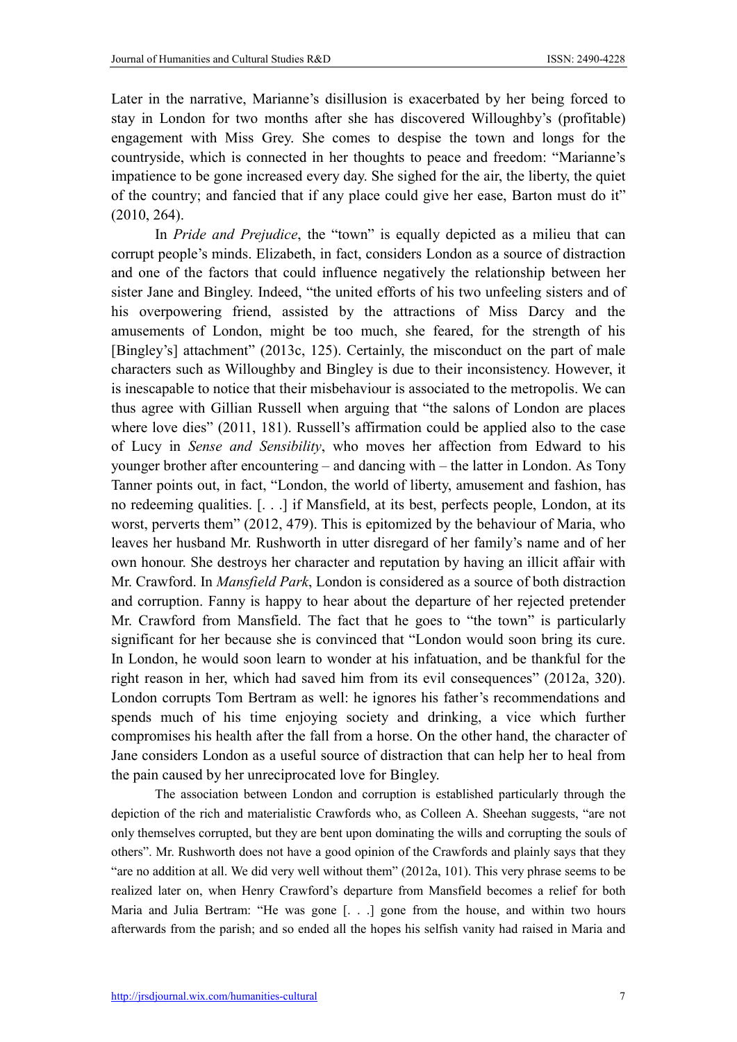Later in the narrative, Marianne's disillusion is exacerbated by her being forced to stay in London for two months after she has discovered Willoughby's (profitable) engagement with Miss Grey. She comes to despise the town and longs for the countryside, which is connected in her thoughts to peace and freedom: "Marianne's impatience to be gone increased every day. She sighed for the air, the liberty, the quiet of the country; and fancied that if any place could give her ease, Barton must do it" (2010, 264).

In *Pride and Prejudice*, the "town" is equally depicted as a milieu that can corrupt people's minds. Elizabeth, in fact, considers London as a source of distraction and one of the factors that could influence negatively the relationship between her sister Jane and Bingley. Indeed, "the united efforts of his two unfeeling sisters and of his overpowering friend, assisted by the attractions of Miss Darcy and the amusements of London, might be too much, she feared, for the strength of his [Bingley's] attachment" (2013c, 125). Certainly, the misconduct on the part of male characters such as Willoughby and Bingley is due to their inconsistency. However, it is inescapable to notice that their misbehaviour is associated to the metropolis. We can thus agree with Gillian Russell when arguing that "the salons of London are places where love dies" (2011, 181). Russell's affirmation could be applied also to the case of Lucy in *Sense and Sensibility*, who moves her affection from Edward to his younger brother after encountering – and dancing with – the latter in London. As Tony Tanner points out, in fact, "London, the world of liberty, amusement and fashion, has no redeeming qualities. [. . .] if Mansfield, at its best, perfects people, London, at its worst, perverts them" (2012, 479). This is epitomized by the behaviour of Maria, who leaves her husband Mr. Rushworth in utter disregard of her family's name and of her own honour. She destroys her character and reputation by having an illicit affair with Mr. Crawford. In *Mansfield Park*, London is considered as a source of both distraction and corruption. Fanny is happy to hear about the departure of her rejected pretender Mr. Crawford from Mansfield. The fact that he goes to "the town" is particularly significant for her because she is convinced that "London would soon bring its cure. In London, he would soon learn to wonder at his infatuation, and be thankful for the right reason in her, which had saved him from its evil consequences" (2012a, 320). London corrupts Tom Bertram as well: he ignores his father's recommendations and spends much of his time enjoying society and drinking, a vice which further compromises his health after the fall from a horse. On the other hand, the character of Jane considers London as a useful source of distraction that can help her to heal from the pain caused by her unreciprocated love for Bingley.

The association between London and corruption is established particularly through the depiction of the rich and materialistic Crawfords who, as Colleen A. Sheehan suggests, "are not only themselves corrupted, but they are bent upon dominating the wills and corrupting the souls of others". Mr. Rushworth does not have a good opinion of the Crawfords and plainly says that they "are no addition at all. We did very well without them" (2012a, 101). This very phrase seems to be realized later on, when Henry Crawford's departure from Mansfield becomes a relief for both Maria and Julia Bertram: "He was gone [. . .] gone from the house, and within two hours afterwards from the parish; and so ended all the hopes his selfish vanity had raised in Maria and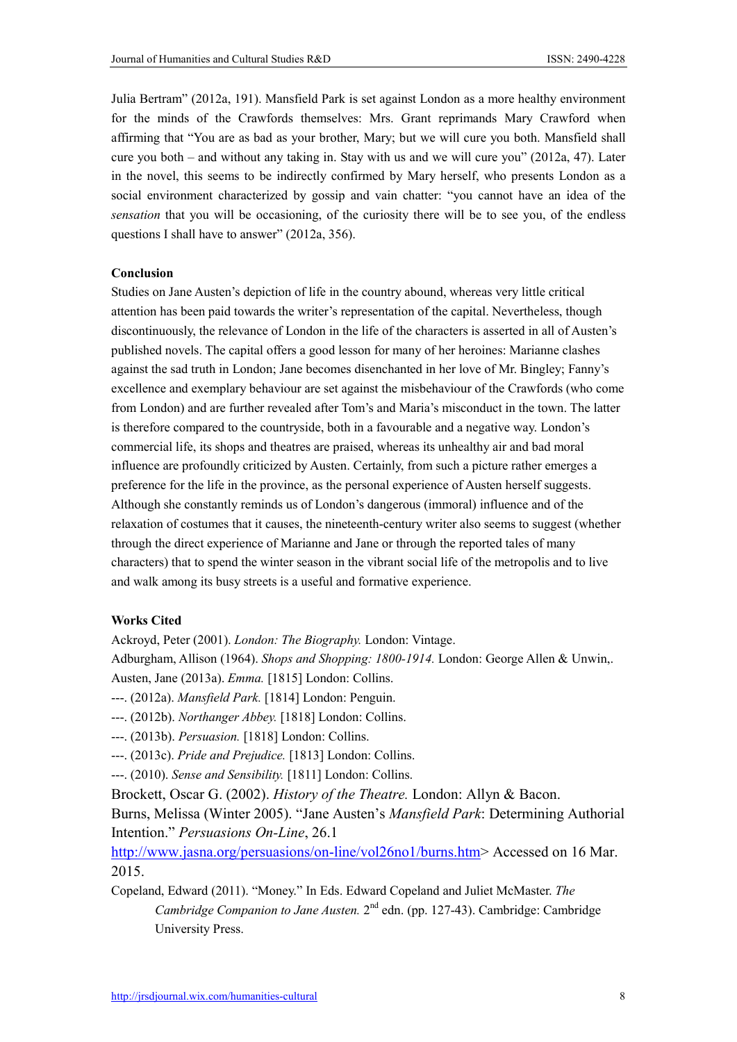Julia Bertram" (2012a, 191). Mansfield Park is set against London as a more healthy environment for the minds of the Crawfords themselves: Mrs. Grant reprimands Mary Crawford when affirming that "You are as bad as your brother, Mary; but we will cure you both. Mansfield shall cure you both – and without any taking in. Stay with us and we will cure you" (2012a, 47). Later in the novel, this seems to be indirectly confirmed by Mary herself, who presents London as a social environment characterized by gossip and vain chatter: "you cannot have an idea of the *sensation* that you will be occasioning, of the curiosity there will be to see you, of the endless questions I shall have to answer" (2012a, 356).

#### Conclusion

Studies on Jane Austen's depiction of life in the country abound, whereas very little critical attention has been paid towards the writer's representation of the capital. Nevertheless, though discontinuously, the relevance of London in the life of the characters is asserted in all of Austen's published novels. The capital offers a good lesson for many of her heroines: Marianne clashes against the sad truth in London; Jane becomes disenchanted in her love of Mr. Bingley; Fanny's excellence and exemplary behaviour are set against the misbehaviour of the Crawfords (who come from London) and are further revealed after Tom's and Maria's misconduct in the town. The latter is therefore compared to the countryside, both in a favourable and a negative way. London's commercial life, its shops and theatres are praised, whereas its unhealthy air and bad moral influence are profoundly criticized by Austen. Certainly, from such a picture rather emerges a preference for the life in the province, as the personal experience of Austen herself suggests. Although she constantly reminds us of London's dangerous (immoral) influence and of the relaxation of costumes that it causes, the nineteenth-century writer also seems to suggest (whether through the direct experience of Marianne and Jane or through the reported tales of many characters) that to spend the winter season in the vibrant social life of the metropolis and to live and walk among its busy streets is a useful and formative experience.

## Works Cited

Ackroyd, Peter (2001). *London: The Biography.* London: Vintage.

Adburgham, Allison (1964). *Shops and Shopping: 1800-1914.* London: George Allen & Unwin,. Austen, Jane (2013a). *Emma.* [1815] London: Collins.

- ---. (2012a). *Mansfield Park.* [1814] London: Penguin.
- ---. (2012b). *Northanger Abbey.* [1818] London: Collins.
- ---. (2013b). *Persuasion.* [1818] London: Collins.
- ---. (2013c). *Pride and Prejudice.* [1813] London: Collins.
- ---. (2010). *Sense and Sensibility.* [1811] London: Collins.
- Brockett, Oscar G. (2002). *History of the Theatre.* London: Allyn & Bacon.

Burns, Melissa (Winter 2005). "Jane Austen's *Mansfield Park*: Determining Authorial Intention." *Persuasions On-Line*, 26.1

http://www.jasna.org/persuasions/on-line/vol26no1/burns.htm> Accessed on 16 Mar. 2015.

Copeland, Edward (2011). "Money." In Eds. Edward Copeland and Juliet McMaster. *The Cambridge Companion to Jane Austen.* 2<sup>nd</sup> edn. (pp. 127-43). Cambridge: Cambridge University Press.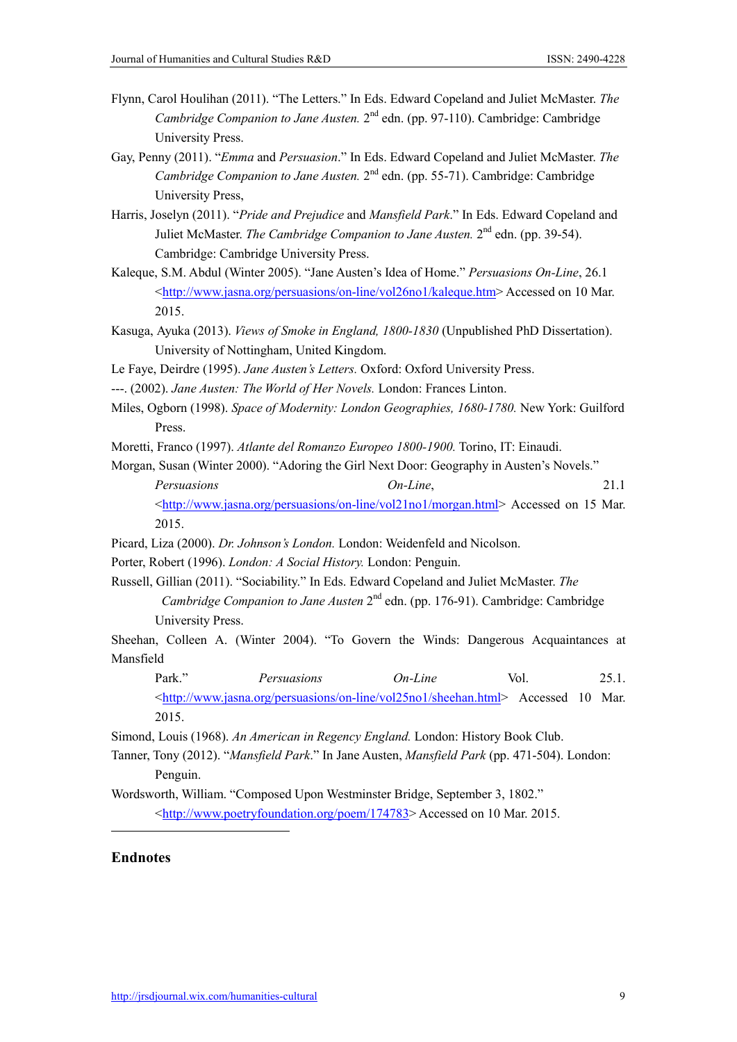- Flynn, Carol Houlihan (2011). "The Letters." In Eds. Edward Copeland and Juliet McMaster. *The Cambridge Companion to Jane Austen.* 2<sup>nd</sup> edn. (pp. 97-110). Cambridge: Cambridge University Press.
- Gay, Penny (2011). "*Emma* and *Persuasion*." In Eds. Edward Copeland and Juliet McMaster. *The Cambridge Companion to Jane Austen.* 2<sup>nd</sup> edn. (pp. 55-71). Cambridge: Cambridge University Press,
- Harris, Joselyn (2011). "*Pride and Prejudice* and *Mansfield Park*." In Eds. Edward Copeland and Juliet McMaster. *The Cambridge Companion to Jane Austen*. 2<sup>nd</sup> edn. (pp. 39-54). Cambridge: Cambridge University Press.
- Kaleque, S.M. Abdul (Winter 2005). "Jane Austen's Idea of Home." *Persuasions On-Line*, 26.1 <http://www.jasna.org/persuasions/on-line/vol26no1/kaleque.htm> Accessed on 10 Mar. 2015.
- Kasuga, Ayuka (2013). *Views of Smoke in England, 1800-1830* (Unpublished PhD Dissertation). University of Nottingham, United Kingdom.
- Le Faye, Deirdre (1995). *Jane Austen's Letters.* Oxford: Oxford University Press.
- ---. (2002). *Jane Austen: The World of Her Novels.* London: Frances Linton.
- Miles, Ogborn (1998). *Space of Modernity: London Geographies, 1680-1780.* New York: Guilford Press.
- Moretti, Franco (1997). *Atlante del Romanzo Europeo 1800-1900.* Torino, IT: Einaudi.

Morgan, Susan (Winter 2000). "Adoring the Girl Next Door: Geography in Austen's Novels." *Persuasions On-Line*, 21.1  $\langle \frac{\text{http://www.jasna.org/persuasions/on-line/vol21no1/morgan.html}}{\text{Accessed on 15 Mar.}}$ 2015.

- Picard, Liza (2000). *Dr. Johnson's London.* London: Weidenfeld and Nicolson.
- Porter, Robert (1996). *London: A Social History.* London: Penguin.
- Russell, Gillian (2011). "Sociability." In Eds. Edward Copeland and Juliet McMaster. *The Cambridge Companion to Jane Austen* 2<sup>nd</sup> edn. (pp. 176-91). Cambridge: Cambridge University Press.

Sheehan, Colleen A. (Winter 2004). "To Govern the Winds: Dangerous Acquaintances at Mansfield

Park." *Persuasions On-Line* Vol. 25.1. <http://www.jasna.org/persuasions/on-line/vol25no1/sheehan.html> Accessed 10 Mar. 2015.

Simond, Louis (1968). *An American in Regency England.* London: History Book Club.

- Tanner, Tony (2012). "*Mansfield Park*." In Jane Austen, *Mansfield Park* (pp. 471-504). London: Penguin.
- Wordsworth, William. "Composed Upon Westminster Bridge, September 3, 1802." <http://www.poetryfoundation.org/poem/174783> Accessed on 10 Mar. 2015.

## Endnotes

 $\ddot{ }$